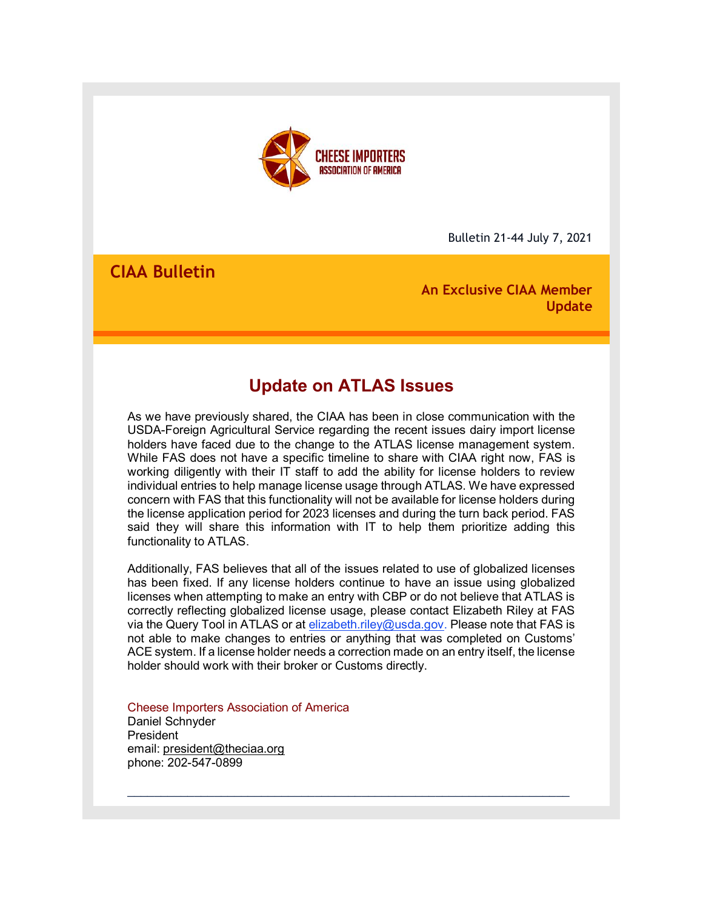

Bulletin 21-44 July 7, 2021

# **CIAA Bulletin**

**An Exclusive CIAA Member Update**

# **Update on ATLAS Issues**

As we have previously shared, the CIAA has been in close communication with the USDA-Foreign Agricultural Service regarding the recent issues dairy import license holders have faced due to the change to the ATLAS license management system. While FAS does not have a specific timeline to share with CIAA right now, FAS is working diligently with their IT staff to add the ability for license holders to review individual entries to help manage license usage through ATLAS. We have expressed concern with FAS that this functionality will not be available for license holders during the license application period for 2023 licenses and during the turn back period. FAS said they will share this information with IT to help them prioritize adding this functionality to ATLAS.

Additionally, FAS believes that all of the issues related to use of globalized licenses has been fixed. If any license holders continue to have an issue using globalized licenses when attempting to make an entry with CBP or do not believe that ATLAS is correctly reflecting globalized license usage, please contact Elizabeth Riley at FAS via the Query Tool in ATLAS or at [elizabeth.riley@usda.gov.](mailto:elizabeth.riley@usda.gov) Please note that FAS is not able to make changes to entries or anything that was completed on Customs' ACE system. If a license holder needs a correction made on an entry itself, the license holder should work with their broker or Customs directly.

\_\_\_\_\_\_\_\_\_\_\_\_\_\_\_\_\_\_\_\_\_\_\_\_\_\_\_\_\_\_\_\_\_\_\_\_\_\_\_\_\_\_\_\_\_\_\_\_\_\_\_\_\_\_\_\_\_\_\_\_\_\_\_\_\_\_

Cheese Importers Association of America Daniel Schnyder **President** email: president@theciaa.org phone: 202-547-0899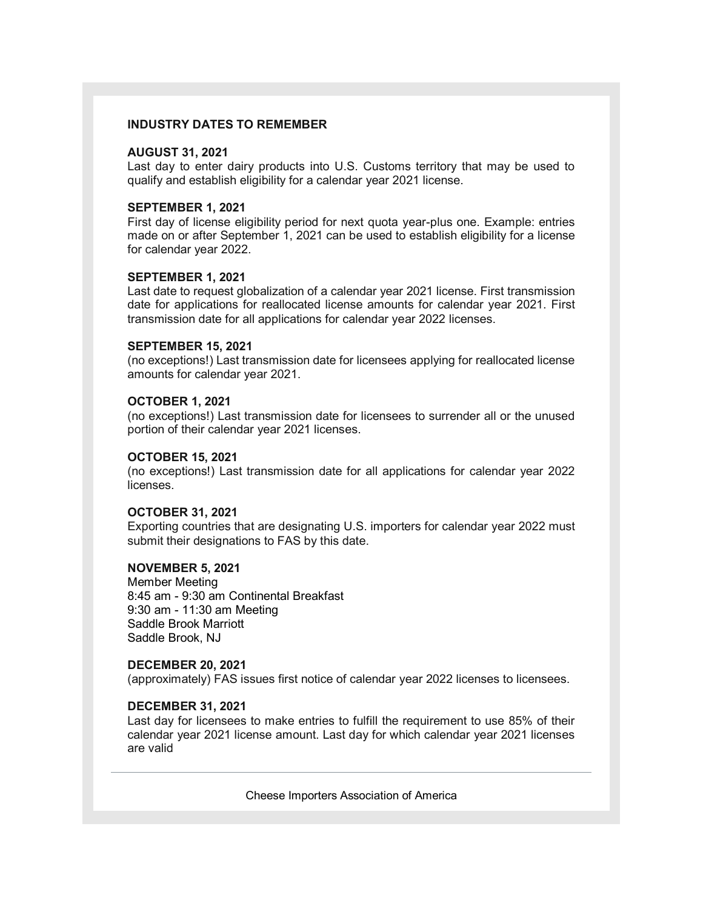#### **INDUSTRY DATES TO REMEMBER**

#### **AUGUST 31, 2021**

Last day to enter dairy products into U.S. Customs territory that may be used to qualify and establish eligibility for a calendar year 2021 license.

### **SEPTEMBER 1, 2021**

First day of license eligibility period for next quota year-plus one. Example: entries made on or after September 1, 2021 can be used to establish eligibility for a license for calendar year 2022.

#### **SEPTEMBER 1, 2021**

Last date to request globalization of a calendar year 2021 license. First transmission date for applications for reallocated license amounts for calendar year 2021. First transmission date for all applications for calendar year 2022 licenses.

#### **SEPTEMBER 15, 2021**

(no exceptions!) Last transmission date for licensees applying for reallocated license amounts for calendar year 2021.

#### **OCTOBER 1, 2021**

(no exceptions!) Last transmission date for licensees to surrender all or the unused portion of their calendar year 2021 licenses.

#### **OCTOBER 15, 2021**

(no exceptions!) Last transmission date for all applications for calendar year 2022 **licenses** 

### **OCTOBER 31, 2021**

Exporting countries that are designating U.S. importers for calendar year 2022 must submit their designations to FAS by this date.

## **NOVEMBER 5, 2021**

Member Meeting 8:45 am - 9:30 am Continental Breakfast 9:30 am - 11:30 am Meeting Saddle Brook Marriott Saddle Brook, NJ

#### **DECEMBER 20, 2021**

(approximately) FAS issues first notice of calendar year 2022 licenses to licensees.

## **DECEMBER 31, 2021**

Last day for licensees to make entries to fulfill the requirement to use 85% of their calendar year 2021 license amount. Last day for which calendar year 2021 licenses are valid

Cheese Importers Association of America